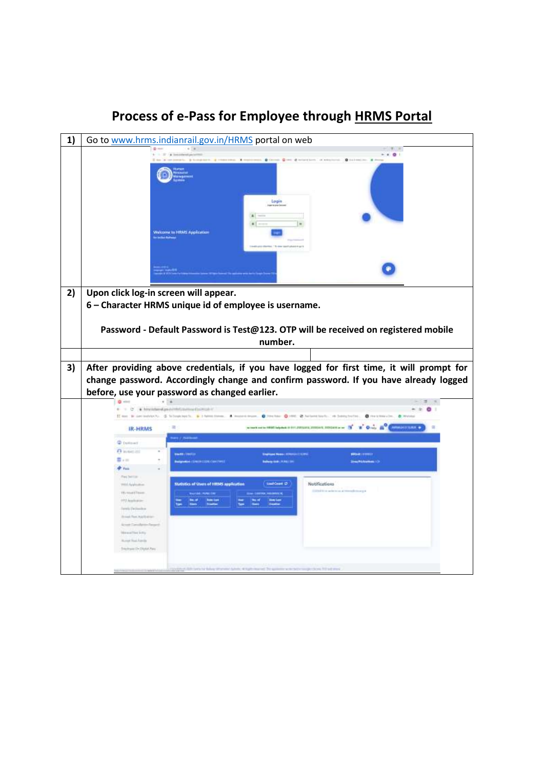|    |                                                      | Go to www.hrms.indianrail.gov.in/HRMS portal on web                                             |
|----|------------------------------------------------------|-------------------------------------------------------------------------------------------------|
|    |                                                      | $- 0.01$                                                                                        |
|    |                                                      | $0$ to testing $x =$                                                                            |
|    |                                                      |                                                                                                 |
|    |                                                      |                                                                                                 |
|    |                                                      |                                                                                                 |
|    |                                                      | Login                                                                                           |
|    |                                                      | service pro                                                                                     |
|    |                                                      |                                                                                                 |
|    |                                                      |                                                                                                 |
|    |                                                      | Welcome to HRMS Application                                                                     |
|    |                                                      |                                                                                                 |
|    |                                                      |                                                                                                 |
|    |                                                      |                                                                                                 |
|    |                                                      |                                                                                                 |
|    |                                                      |                                                                                                 |
| 2) | Upon click log-in screen will appear.                |                                                                                                 |
|    |                                                      |                                                                                                 |
|    |                                                      | 6 - Character HRMS unique id of employee is username.                                           |
|    |                                                      |                                                                                                 |
|    |                                                      | Password - Default Password is Test@123. OTP will be received on registered mobile              |
|    |                                                      |                                                                                                 |
|    |                                                      |                                                                                                 |
|    |                                                      | number.                                                                                         |
|    |                                                      |                                                                                                 |
|    |                                                      |                                                                                                 |
| 3) |                                                      | After providing above credentials, if you have logged for first time, it will prompt for        |
|    |                                                      | change password. Accordingly change and confirm password. If you have already logged            |
|    |                                                      | before, use your password as changed earlier.                                                   |
|    |                                                      |                                                                                                 |
|    | $-2$                                                 | * New Informal product file to a month of the Western                                           |
|    | If me is not technically. If informations is, a link | cours. @ Jocker @ Hill, @ Adamittists, I in Solicitation,<br><b>Q</b> metricials (in  @ Work)   |
|    | <b>IR-HRMS</b>                                       | which is relative except contain and income with the One. A<br><b>SIMULATELY TERMS - 0</b><br>霊 |
|    |                                                      |                                                                                                 |
|    | <b>C</b> Delivery                                    |                                                                                                 |
|    | <b>B</b> insiet 211<br>$\equiv$ . $=$                | <b>BANK LIMITER</b><br><b>SPOAR LESSING</b>                                                     |
|    | $+$ rate                                             | <b>Mod : SHEIN CODO, ONN PWYE</b><br><b>Zony PANamas (O)</b><br>places (min.) It has to         |
|    | Field Tel LLUC                                       |                                                                                                 |
|    | With Application                                     | Notifications<br><b>Datistics of Users of HRMS application</b><br>sol Coast D                   |
|    | 19 root Fisson                                       | consideration and executive age.                                                                |
|    | PTU Acada acar                                       |                                                                                                 |
|    | Darwin Twilliamhou                                   |                                                                                                 |
|    | <b>Armed Faat Auctionist</b>                         |                                                                                                 |
|    |                                                      |                                                                                                 |
|    | <b>Margaret Firest Exhibit</b><br>According Links    |                                                                                                 |
|    |                                                      |                                                                                                 |
|    | Dreifigee Chillight Pale                             |                                                                                                 |
|    |                                                      | in Chrysie 100 auto provi-                                                                      |

## **Process of e-Pass for Employee through HRMS Portal**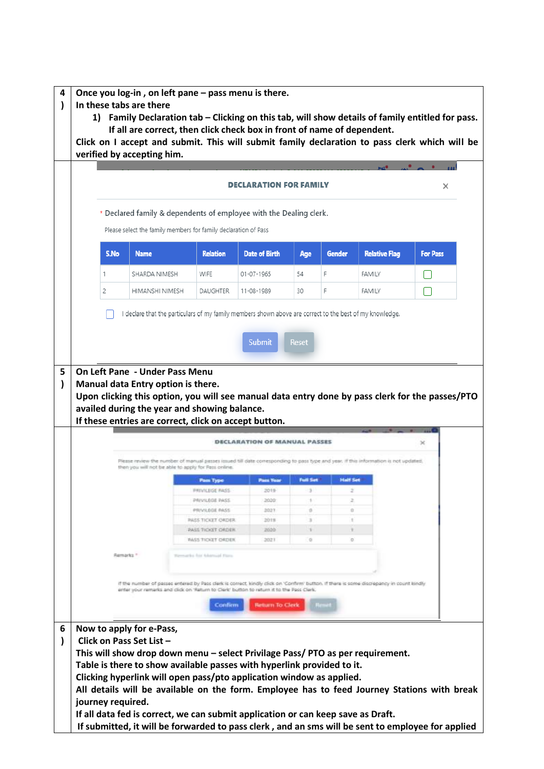| * Declared family & dependents of employee with the Dealing clerk.<br>Please select the family members for family declaration of Pass<br>S.No<br><b>Date of Birth</b><br><b>Relative Flag</b><br><b>Name</b><br><b>Relation</b><br><b>Gender</b><br><b>For Pass</b><br>Age<br>WIFE<br>54<br>F<br>SHARDA NIMESH<br>01-07-1965<br>FAMILY<br>1<br>F<br>2<br>HIMANSHI NIMESH<br><b>DAUGHTER</b><br>11-08-1989<br>30<br><b>FAMILY</b><br>declare that the particulars of my family members shown above are correct to the best of my knowledge.<br><b>Submit</b><br>Reset<br><b>On Left Pane - Under Pass Menu</b><br>Manual data Entry option is there.<br>Upon clicking this option, you will see manual data entry done by pass clerk for the passes/PTO<br>availed during the year and showing balance.<br>If these entries are correct, click on accept button.<br><b>DECLARATION OF MANUAL PASSES</b><br>Please review the number of manual passes issued bill date conesponding to pass type and year. If this information is not updated,<br>then you will not be able to apply for Pass online.<br><b>Half Set</b><br><b>Full Set</b><br><b>Pass Year</b><br><b>Pam Type</b><br><b>PRIVILEGE RASS</b><br>2019<br>$\Rightarrow$<br>z<br>PAIVILEGE PASS<br>3020<br>3<br>z<br>a<br>ŭ<br>PRIVILEGE RASS<br>2021<br>3<br>2019<br>÷<br><b>PASS TICKET ORDER.</b><br>2020<br><b>PASS TIOXET ORDER</b><br>۰<br>Ŧ.<br>$\alpha$<br><b><i>PASS TIORT ORDER</i></b><br>2021<br>o.<br>Remarks *<br>arks fur Adamsad Pars. | If the number of passes entered by Pass clerk is correct, kindly click on 'Confirm' button. If there is some discrepancy in count kindly<br>enter your nimerks and dick on 'Return to Clerk' button to return it to the Pass Clerk. |
|------------------------------------------------------------------------------------------------------------------------------------------------------------------------------------------------------------------------------------------------------------------------------------------------------------------------------------------------------------------------------------------------------------------------------------------------------------------------------------------------------------------------------------------------------------------------------------------------------------------------------------------------------------------------------------------------------------------------------------------------------------------------------------------------------------------------------------------------------------------------------------------------------------------------------------------------------------------------------------------------------------------------------------------------------------------------------------------------------------------------------------------------------------------------------------------------------------------------------------------------------------------------------------------------------------------------------------------------------------------------------------------------------------------------------------------------------------------------------------------------------------------|-------------------------------------------------------------------------------------------------------------------------------------------------------------------------------------------------------------------------------------|
|                                                                                                                                                                                                                                                                                                                                                                                                                                                                                                                                                                                                                                                                                                                                                                                                                                                                                                                                                                                                                                                                                                                                                                                                                                                                                                                                                                                                                                                                                                                  |                                                                                                                                                                                                                                     |
|                                                                                                                                                                                                                                                                                                                                                                                                                                                                                                                                                                                                                                                                                                                                                                                                                                                                                                                                                                                                                                                                                                                                                                                                                                                                                                                                                                                                                                                                                                                  |                                                                                                                                                                                                                                     |
|                                                                                                                                                                                                                                                                                                                                                                                                                                                                                                                                                                                                                                                                                                                                                                                                                                                                                                                                                                                                                                                                                                                                                                                                                                                                                                                                                                                                                                                                                                                  |                                                                                                                                                                                                                                     |
|                                                                                                                                                                                                                                                                                                                                                                                                                                                                                                                                                                                                                                                                                                                                                                                                                                                                                                                                                                                                                                                                                                                                                                                                                                                                                                                                                                                                                                                                                                                  |                                                                                                                                                                                                                                     |
|                                                                                                                                                                                                                                                                                                                                                                                                                                                                                                                                                                                                                                                                                                                                                                                                                                                                                                                                                                                                                                                                                                                                                                                                                                                                                                                                                                                                                                                                                                                  |                                                                                                                                                                                                                                     |
|                                                                                                                                                                                                                                                                                                                                                                                                                                                                                                                                                                                                                                                                                                                                                                                                                                                                                                                                                                                                                                                                                                                                                                                                                                                                                                                                                                                                                                                                                                                  |                                                                                                                                                                                                                                     |
|                                                                                                                                                                                                                                                                                                                                                                                                                                                                                                                                                                                                                                                                                                                                                                                                                                                                                                                                                                                                                                                                                                                                                                                                                                                                                                                                                                                                                                                                                                                  |                                                                                                                                                                                                                                     |
|                                                                                                                                                                                                                                                                                                                                                                                                                                                                                                                                                                                                                                                                                                                                                                                                                                                                                                                                                                                                                                                                                                                                                                                                                                                                                                                                                                                                                                                                                                                  |                                                                                                                                                                                                                                     |
|                                                                                                                                                                                                                                                                                                                                                                                                                                                                                                                                                                                                                                                                                                                                                                                                                                                                                                                                                                                                                                                                                                                                                                                                                                                                                                                                                                                                                                                                                                                  |                                                                                                                                                                                                                                     |
|                                                                                                                                                                                                                                                                                                                                                                                                                                                                                                                                                                                                                                                                                                                                                                                                                                                                                                                                                                                                                                                                                                                                                                                                                                                                                                                                                                                                                                                                                                                  |                                                                                                                                                                                                                                     |
|                                                                                                                                                                                                                                                                                                                                                                                                                                                                                                                                                                                                                                                                                                                                                                                                                                                                                                                                                                                                                                                                                                                                                                                                                                                                                                                                                                                                                                                                                                                  |                                                                                                                                                                                                                                     |
|                                                                                                                                                                                                                                                                                                                                                                                                                                                                                                                                                                                                                                                                                                                                                                                                                                                                                                                                                                                                                                                                                                                                                                                                                                                                                                                                                                                                                                                                                                                  |                                                                                                                                                                                                                                     |
|                                                                                                                                                                                                                                                                                                                                                                                                                                                                                                                                                                                                                                                                                                                                                                                                                                                                                                                                                                                                                                                                                                                                                                                                                                                                                                                                                                                                                                                                                                                  |                                                                                                                                                                                                                                     |
|                                                                                                                                                                                                                                                                                                                                                                                                                                                                                                                                                                                                                                                                                                                                                                                                                                                                                                                                                                                                                                                                                                                                                                                                                                                                                                                                                                                                                                                                                                                  |                                                                                                                                                                                                                                     |
|                                                                                                                                                                                                                                                                                                                                                                                                                                                                                                                                                                                                                                                                                                                                                                                                                                                                                                                                                                                                                                                                                                                                                                                                                                                                                                                                                                                                                                                                                                                  |                                                                                                                                                                                                                                     |
|                                                                                                                                                                                                                                                                                                                                                                                                                                                                                                                                                                                                                                                                                                                                                                                                                                                                                                                                                                                                                                                                                                                                                                                                                                                                                                                                                                                                                                                                                                                  |                                                                                                                                                                                                                                     |
|                                                                                                                                                                                                                                                                                                                                                                                                                                                                                                                                                                                                                                                                                                                                                                                                                                                                                                                                                                                                                                                                                                                                                                                                                                                                                                                                                                                                                                                                                                                  |                                                                                                                                                                                                                                     |
|                                                                                                                                                                                                                                                                                                                                                                                                                                                                                                                                                                                                                                                                                                                                                                                                                                                                                                                                                                                                                                                                                                                                                                                                                                                                                                                                                                                                                                                                                                                  |                                                                                                                                                                                                                                     |
|                                                                                                                                                                                                                                                                                                                                                                                                                                                                                                                                                                                                                                                                                                                                                                                                                                                                                                                                                                                                                                                                                                                                                                                                                                                                                                                                                                                                                                                                                                                  |                                                                                                                                                                                                                                     |
|                                                                                                                                                                                                                                                                                                                                                                                                                                                                                                                                                                                                                                                                                                                                                                                                                                                                                                                                                                                                                                                                                                                                                                                                                                                                                                                                                                                                                                                                                                                  |                                                                                                                                                                                                                                     |
|                                                                                                                                                                                                                                                                                                                                                                                                                                                                                                                                                                                                                                                                                                                                                                                                                                                                                                                                                                                                                                                                                                                                                                                                                                                                                                                                                                                                                                                                                                                  |                                                                                                                                                                                                                                     |
|                                                                                                                                                                                                                                                                                                                                                                                                                                                                                                                                                                                                                                                                                                                                                                                                                                                                                                                                                                                                                                                                                                                                                                                                                                                                                                                                                                                                                                                                                                                  |                                                                                                                                                                                                                                     |
|                                                                                                                                                                                                                                                                                                                                                                                                                                                                                                                                                                                                                                                                                                                                                                                                                                                                                                                                                                                                                                                                                                                                                                                                                                                                                                                                                                                                                                                                                                                  |                                                                                                                                                                                                                                     |
|                                                                                                                                                                                                                                                                                                                                                                                                                                                                                                                                                                                                                                                                                                                                                                                                                                                                                                                                                                                                                                                                                                                                                                                                                                                                                                                                                                                                                                                                                                                  |                                                                                                                                                                                                                                     |
|                                                                                                                                                                                                                                                                                                                                                                                                                                                                                                                                                                                                                                                                                                                                                                                                                                                                                                                                                                                                                                                                                                                                                                                                                                                                                                                                                                                                                                                                                                                  |                                                                                                                                                                                                                                     |
|                                                                                                                                                                                                                                                                                                                                                                                                                                                                                                                                                                                                                                                                                                                                                                                                                                                                                                                                                                                                                                                                                                                                                                                                                                                                                                                                                                                                                                                                                                                  |                                                                                                                                                                                                                                     |
|                                                                                                                                                                                                                                                                                                                                                                                                                                                                                                                                                                                                                                                                                                                                                                                                                                                                                                                                                                                                                                                                                                                                                                                                                                                                                                                                                                                                                                                                                                                  |                                                                                                                                                                                                                                     |
|                                                                                                                                                                                                                                                                                                                                                                                                                                                                                                                                                                                                                                                                                                                                                                                                                                                                                                                                                                                                                                                                                                                                                                                                                                                                                                                                                                                                                                                                                                                  |                                                                                                                                                                                                                                     |
|                                                                                                                                                                                                                                                                                                                                                                                                                                                                                                                                                                                                                                                                                                                                                                                                                                                                                                                                                                                                                                                                                                                                                                                                                                                                                                                                                                                                                                                                                                                  |                                                                                                                                                                                                                                     |
|                                                                                                                                                                                                                                                                                                                                                                                                                                                                                                                                                                                                                                                                                                                                                                                                                                                                                                                                                                                                                                                                                                                                                                                                                                                                                                                                                                                                                                                                                                                  |                                                                                                                                                                                                                                     |
|                                                                                                                                                                                                                                                                                                                                                                                                                                                                                                                                                                                                                                                                                                                                                                                                                                                                                                                                                                                                                                                                                                                                                                                                                                                                                                                                                                                                                                                                                                                  |                                                                                                                                                                                                                                     |
|                                                                                                                                                                                                                                                                                                                                                                                                                                                                                                                                                                                                                                                                                                                                                                                                                                                                                                                                                                                                                                                                                                                                                                                                                                                                                                                                                                                                                                                                                                                  |                                                                                                                                                                                                                                     |
|                                                                                                                                                                                                                                                                                                                                                                                                                                                                                                                                                                                                                                                                                                                                                                                                                                                                                                                                                                                                                                                                                                                                                                                                                                                                                                                                                                                                                                                                                                                  |                                                                                                                                                                                                                                     |
| Confirm<br><b>Beturn To Clerk</b>                                                                                                                                                                                                                                                                                                                                                                                                                                                                                                                                                                                                                                                                                                                                                                                                                                                                                                                                                                                                                                                                                                                                                                                                                                                                                                                                                                                                                                                                                |                                                                                                                                                                                                                                     |
|                                                                                                                                                                                                                                                                                                                                                                                                                                                                                                                                                                                                                                                                                                                                                                                                                                                                                                                                                                                                                                                                                                                                                                                                                                                                                                                                                                                                                                                                                                                  |                                                                                                                                                                                                                                     |
|                                                                                                                                                                                                                                                                                                                                                                                                                                                                                                                                                                                                                                                                                                                                                                                                                                                                                                                                                                                                                                                                                                                                                                                                                                                                                                                                                                                                                                                                                                                  |                                                                                                                                                                                                                                     |
| Now to apply for e-Pass,                                                                                                                                                                                                                                                                                                                                                                                                                                                                                                                                                                                                                                                                                                                                                                                                                                                                                                                                                                                                                                                                                                                                                                                                                                                                                                                                                                                                                                                                                         |                                                                                                                                                                                                                                     |
| Click on Pass Set List -<br>This will show drop down menu - select Privilage Pass/PTO as per requirement.                                                                                                                                                                                                                                                                                                                                                                                                                                                                                                                                                                                                                                                                                                                                                                                                                                                                                                                                                                                                                                                                                                                                                                                                                                                                                                                                                                                                        |                                                                                                                                                                                                                                     |
|                                                                                                                                                                                                                                                                                                                                                                                                                                                                                                                                                                                                                                                                                                                                                                                                                                                                                                                                                                                                                                                                                                                                                                                                                                                                                                                                                                                                                                                                                                                  |                                                                                                                                                                                                                                     |
|                                                                                                                                                                                                                                                                                                                                                                                                                                                                                                                                                                                                                                                                                                                                                                                                                                                                                                                                                                                                                                                                                                                                                                                                                                                                                                                                                                                                                                                                                                                  |                                                                                                                                                                                                                                     |
|                                                                                                                                                                                                                                                                                                                                                                                                                                                                                                                                                                                                                                                                                                                                                                                                                                                                                                                                                                                                                                                                                                                                                                                                                                                                                                                                                                                                                                                                                                                  |                                                                                                                                                                                                                                     |
|                                                                                                                                                                                                                                                                                                                                                                                                                                                                                                                                                                                                                                                                                                                                                                                                                                                                                                                                                                                                                                                                                                                                                                                                                                                                                                                                                                                                                                                                                                                  |                                                                                                                                                                                                                                     |
|                                                                                                                                                                                                                                                                                                                                                                                                                                                                                                                                                                                                                                                                                                                                                                                                                                                                                                                                                                                                                                                                                                                                                                                                                                                                                                                                                                                                                                                                                                                  |                                                                                                                                                                                                                                     |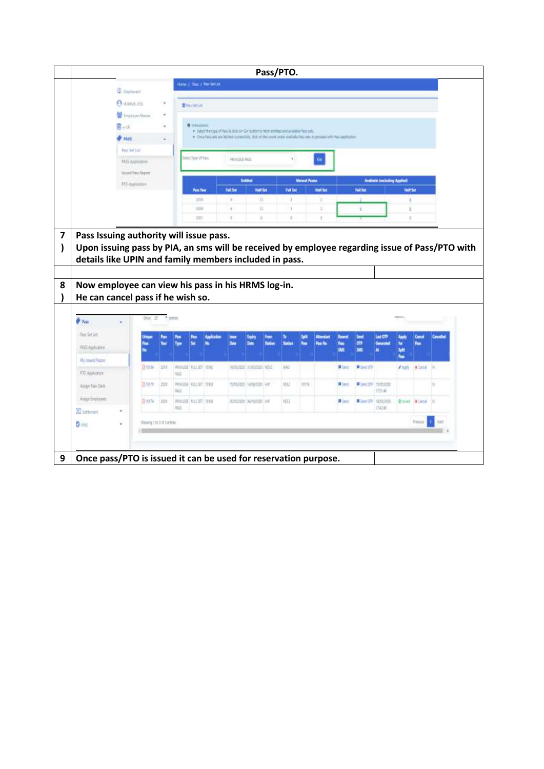|                                                                                                                                                                                                                                                     |                                         |                  |            |              |                      |                                                                                                                                                                                                           |                      |                           |     | Pass/PTO.       |                      |                       |                                      |                         |                                 |                      |                     |        |
|-----------------------------------------------------------------------------------------------------------------------------------------------------------------------------------------------------------------------------------------------------|-----------------------------------------|------------------|------------|--------------|----------------------|-----------------------------------------------------------------------------------------------------------------------------------------------------------------------------------------------------------|----------------------|---------------------------|-----|-----------------|----------------------|-----------------------|--------------------------------------|-------------------------|---------------------------------|----------------------|---------------------|--------|
|                                                                                                                                                                                                                                                     | <b>C</b> patterns                       |                  |            |              |                      | Home J. Page J. Pen Settlet                                                                                                                                                                               |                      |                           |     |                 |                      |                       |                                      |                         |                                 |                      |                     |        |
|                                                                                                                                                                                                                                                     | A sume ex                               |                  |            |              |                      |                                                                                                                                                                                                           |                      |                           |     |                 |                      |                       |                                      |                         |                                 |                      |                     |        |
|                                                                                                                                                                                                                                                     | <b>Continue Matter</b>                  |                  | ٠          |              | <b>B</b> Recharding  |                                                                                                                                                                                                           |                      |                           |     |                 |                      |                       |                                      |                         |                                 |                      |                     |        |
|                                                                                                                                                                                                                                                     | ≣∍α                                     |                  | ٠          |              | <b>O</b> Intitutions |                                                                                                                                                                                                           |                      |                           |     |                 |                      |                       |                                      |                         |                                 |                      |                     |        |
|                                                                                                                                                                                                                                                     | <b>PALLS</b>                            |                  |            |              |                      | + Select the type of Pask & clid air So' subscribe Next entitled and available Past sets.<br>. One first art are letted a control, this probe trust arder wellable first lett to procedure has applicated |                      |                           |     |                 |                      |                       |                                      |                         |                                 |                      |                     |        |
|                                                                                                                                                                                                                                                     | <b>Page Set List</b>                    |                  |            |              |                      |                                                                                                                                                                                                           |                      |                           |     |                 |                      |                       |                                      |                         |                                 |                      |                     |        |
|                                                                                                                                                                                                                                                     | 9455 Augustation                        |                  |            |              | Het Tele OTPatt      |                                                                                                                                                                                                           | PRIVERSE AKID        |                           |     | ٧.              |                      | Go.                   |                                      |                         |                                 |                      |                     |        |
|                                                                                                                                                                                                                                                     | <b>Journey Fless Fingery</b>            |                  |            |              |                      |                                                                                                                                                                                                           |                      |                           |     |                 |                      |                       |                                      |                         |                                 |                      |                     |        |
|                                                                                                                                                                                                                                                     | #10 Application                         |                  |            |              |                      |                                                                                                                                                                                                           |                      | Initial                   |     |                 | <b>Margal Passes</b> |                       |                                      |                         | Anduble Inschuling Applied      |                      |                     |        |
|                                                                                                                                                                                                                                                     |                                         |                  |            |              | Past Fear            |                                                                                                                                                                                                           | Full Sat             | Half Set                  |     | <b>Full Set</b> |                      | <b>Builder</b>        |                                      | <b>full fat</b>         |                                 | <b>Hull Set</b>      |                     |        |
|                                                                                                                                                                                                                                                     |                                         |                  |            |              | 33TV                 |                                                                                                                                                                                                           | $\sim$               | tz.                       |     | ٠               |                      | $\pm$                 |                                      |                         |                                 | ÷                    |                     |        |
|                                                                                                                                                                                                                                                     |                                         |                  |            |              | 2000<br>3071         |                                                                                                                                                                                                           | $\alpha$<br>$\alpha$ | 12.<br>30                 |     | 3<br>×.         |                      | $\hat{z}$<br>$\alpha$ |                                      | ź.                      |                                 | X.                   |                     |        |
|                                                                                                                                                                                                                                                     | Pass Issuing authority will issue pass. |                  |            |              |                      |                                                                                                                                                                                                           |                      |                           |     |                 |                      |                       |                                      |                         |                                 |                      |                     |        |
| Upon issuing pass by PIA, an sms will be received by employee regarding issue of Pass/PTO with<br>details like UPIN and family members included in pass.<br>Now employee can view his pass in his HRMS log-in.<br>He can cancel pass if he wish so. |                                         |                  |            |              |                      |                                                                                                                                                                                                           |                      |                           |     |                 |                      |                       |                                      |                         |                                 |                      |                     |        |
| $\frac{1}{2}$ Pen                                                                                                                                                                                                                                   |                                         | 900 <sub>1</sub> | $\tau$ and |              |                      |                                                                                                                                                                                                           |                      |                           |     |                 |                      |                       |                                      |                         |                                 | <b>SWITH</b>         |                     |        |
|                                                                                                                                                                                                                                                     |                                         | Pess<br>No.      |            |              | Pass                 |                                                                                                                                                                                                           | list<br><b>Date</b>  | <b>buin</b><br>Seis       | hon | s               | Spiri                | Attendant<br>Pass No. | <b>Facerof</b><br>hu i<br><b>IMS</b> | Seat<br>œ<br><b>SMS</b> | List OT?<br>п                   | hpt<br>ter.<br>Split | Concel<br>hm        | Canada |
|                                                                                                                                                                                                                                                     |                                         | <b>BYOM</b>      | -2011      | FELL.        | WHATE RILET (INC.    |                                                                                                                                                                                                           |                      | RARABAN INVENSION INDEE   |     | <b>MAG</b>      |                      |                       | <b>B</b> Smit                        | <b>B</b> Sold OTP       |                                 | hm<br>A koply        | <b>NGHER</b> IN     |        |
|                                                                                                                                                                                                                                                     |                                         | 目取り              | 上加线        | <b>Tacht</b> | WHILE ALLIET 1918    |                                                                                                                                                                                                           |                      | 15/05/2001 AM/60/2002 HHT |     | <b>IGUS</b>     | TITIE                |                       | # Jeni                               |                         | ■ Seed (TP) TERRIGOR<br>1711-00 |                      |                     |        |
|                                                                                                                                                                                                                                                     |                                         | DY059            | 1,202      |              | MANUSE THE ST. TECH  |                                                                                                                                                                                                           |                      | INVESTIGATION THE         |     | <b>HOO</b>      |                      |                       | <b>B</b> last                        |                         | <b>E Lind (ITP</b> 18,93,000)   |                      | <b>Brood Wome</b> N |        |
| Pain Set List<br>Hill Againman<br>My located Pascald<br>PTO Application<br>Juige Fast Oct.<br>Augs Enziones<br>E Settement                                                                                                                          |                                         |                  |            | <b>AU</b>    |                      |                                                                                                                                                                                                           |                      |                           |     |                 |                      |                       |                                      |                         | INDI                            |                      |                     |        |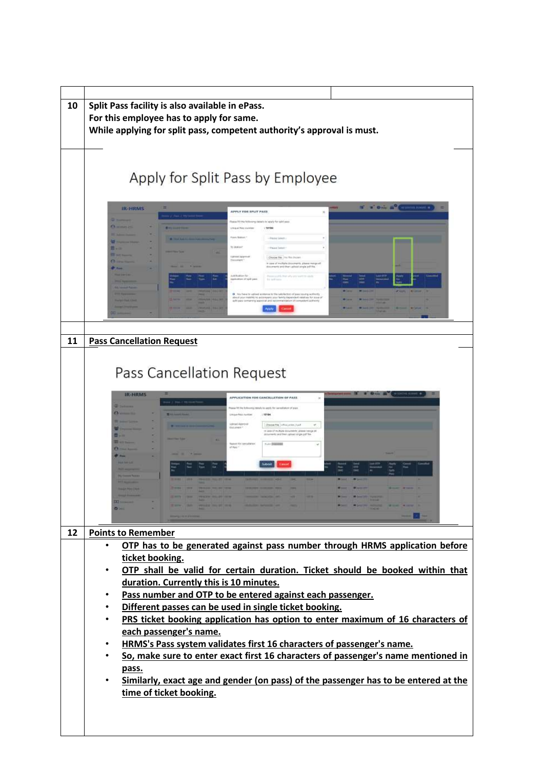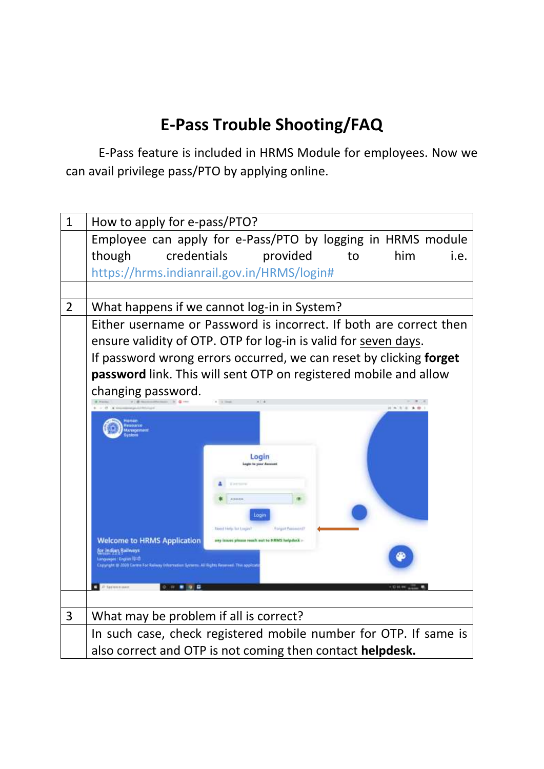## **E-Pass Trouble Shooting/FAQ**

E-Pass feature is included in HRMS Module for employees. Now we can avail privilege pass/PTO by applying online.

| $\mathbf{1}$   | How to apply for e-pass/PTO?                                                          |
|----------------|---------------------------------------------------------------------------------------|
|                | Employee can apply for e-Pass/PTO by logging in HRMS module                           |
|                | though<br>credentials<br>provided<br>him<br>to<br>i.e.                                |
|                | https://hrms.indianrail.gov.in/HRMS/login#                                            |
|                |                                                                                       |
| $\overline{2}$ | What happens if we cannot log-in in System?                                           |
|                | Either username or Password is incorrect. If both are correct then                    |
|                | ensure validity of OTP. OTP for log-in is valid for seven days.                       |
|                | If password wrong errors occurred, we can reset by clicking forget                    |
|                | password link. This will sent OTP on registered mobile and allow                      |
|                | changing password.                                                                    |
|                | $1 - 1 = 10$                                                                          |
|                |                                                                                       |
|                |                                                                                       |
|                | Login                                                                                 |
|                |                                                                                       |
|                |                                                                                       |
|                |                                                                                       |
|                | Login<br><b>Read Help for Legist?</b><br>Forgot Perceived                             |
|                | <b>Welcome to HRMS Application</b><br>arty issues please reach out to HRMS helpdack - |
|                | for Indian Ballways<br>anguages: English 1840                                         |
|                | @ 2000 Centre For Reinery Information Systems All Rights Reserved                     |
|                |                                                                                       |
|                |                                                                                       |
| 3              | What may be problem if all is correct?                                                |
|                | In such case, check registered mobile number for OTP. If same is                      |
|                | also correct and OTP is not coming then contact helpdesk.                             |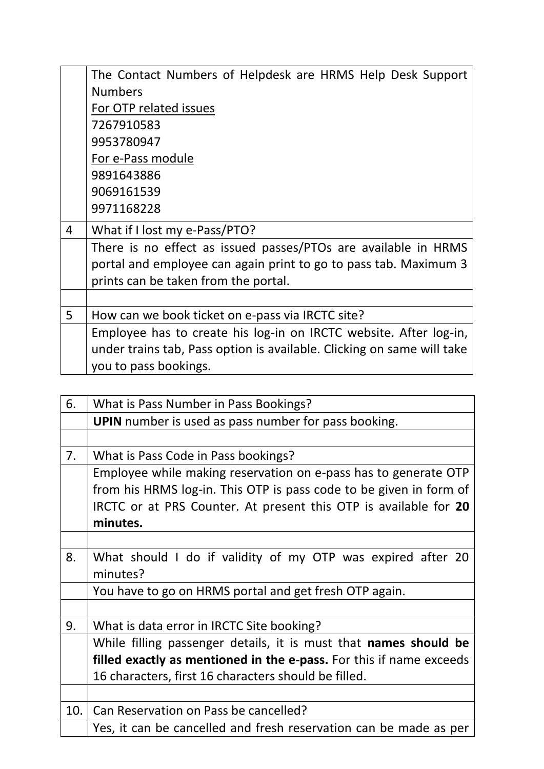|   | The Contact Numbers of Helpdesk are HRMS Help Desk Support             |
|---|------------------------------------------------------------------------|
|   | <b>Numbers</b>                                                         |
|   | For OTP related issues                                                 |
|   | 7267910583                                                             |
|   | 9953780947                                                             |
|   | For e-Pass module                                                      |
|   | 9891643886                                                             |
|   | 9069161539                                                             |
|   | 9971168228                                                             |
| 4 | What if I lost my e-Pass/PTO?                                          |
|   | There is no effect as issued passes/PTOs are available in HRMS         |
|   | portal and employee can again print to go to pass tab. Maximum 3       |
|   | prints can be taken from the portal.                                   |
|   |                                                                        |
| 5 | How can we book ticket on e-pass via IRCTC site?                       |
|   | Employee has to create his log-in on IRCTC website. After log-in,      |
|   | under trains tab, Pass option is available. Clicking on same will take |
|   | you to pass bookings.                                                  |

| 6.  | What is Pass Number in Pass Bookings?                               |
|-----|---------------------------------------------------------------------|
|     | <b>UPIN</b> number is used as pass number for pass booking.         |
|     |                                                                     |
| 7.  | What is Pass Code in Pass bookings?                                 |
|     | Employee while making reservation on e-pass has to generate OTP     |
|     | from his HRMS log-in. This OTP is pass code to be given in form of  |
|     | IRCTC or at PRS Counter. At present this OTP is available for 20    |
|     | minutes.                                                            |
|     |                                                                     |
| 8.  | What should I do if validity of my OTP was expired after 20         |
|     | minutes?                                                            |
|     | You have to go on HRMS portal and get fresh OTP again.              |
|     |                                                                     |
| 9.  | What is data error in IRCTC Site booking?                           |
|     | While filling passenger details, it is must that names should be    |
|     | filled exactly as mentioned in the e-pass. For this if name exceeds |
|     | 16 characters, first 16 characters should be filled.                |
|     |                                                                     |
| 10. | Can Reservation on Pass be cancelled?                               |
|     | Yes, it can be cancelled and fresh reservation can be made as per   |